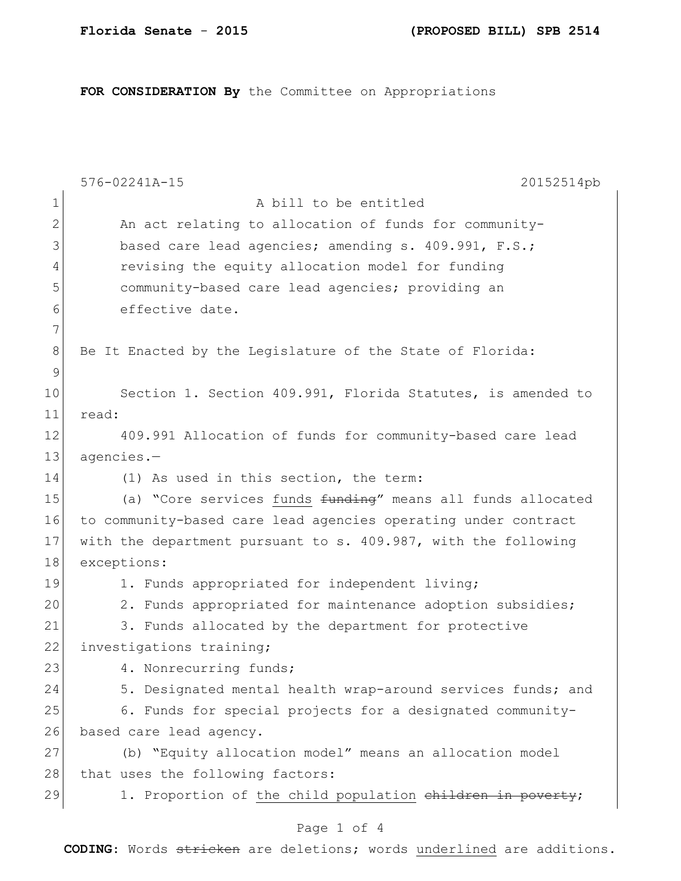**FOR CONSIDERATION By** the Committee on Appropriations

|              | 576-02241A-15<br>20152514pb                                    |
|--------------|----------------------------------------------------------------|
| $\mathbf 1$  | A bill to be entitled                                          |
| $\mathbf{2}$ | An act relating to allocation of funds for community-          |
| 3            | based care lead agencies; amending s. 409.991, F.S.;           |
| 4            | revising the equity allocation model for funding               |
| 5            | community-based care lead agencies; providing an               |
| 6            | effective date.                                                |
| 7            |                                                                |
| 8            | Be It Enacted by the Legislature of the State of Florida:      |
| 9            |                                                                |
| 10           | Section 1. Section 409.991, Florida Statutes, is amended to    |
| 11           | read:                                                          |
| 12           | 409.991 Allocation of funds for community-based care lead      |
| 13           | agencies.-                                                     |
| 14           | (1) As used in this section, the term:                         |
| 15           | (a) "Core services funds funding" means all funds allocated    |
| 16           | to community-based care lead agencies operating under contract |
| 17           | with the department pursuant to s. 409.987, with the following |
| 18           | exceptions:                                                    |
| 19           | 1. Funds appropriated for independent living;                  |
| 20           | 2. Funds appropriated for maintenance adoption subsidies;      |
| 21           | 3. Funds allocated by the department for protective            |
| 22           | investigations training;                                       |
| 23           | 4. Nonrecurring funds;                                         |
| 24           | 5. Designated mental health wrap-around services funds; and    |
| 25           | 6. Funds for special projects for a designated community-      |
| 26           | based care lead agency.                                        |
| 27           | (b) "Equity allocation model" means an allocation model        |
| 28           | that uses the following factors:                               |
| 29           | 1. Proportion of the child population children in poverty;     |
|              | Page 1 of 4                                                    |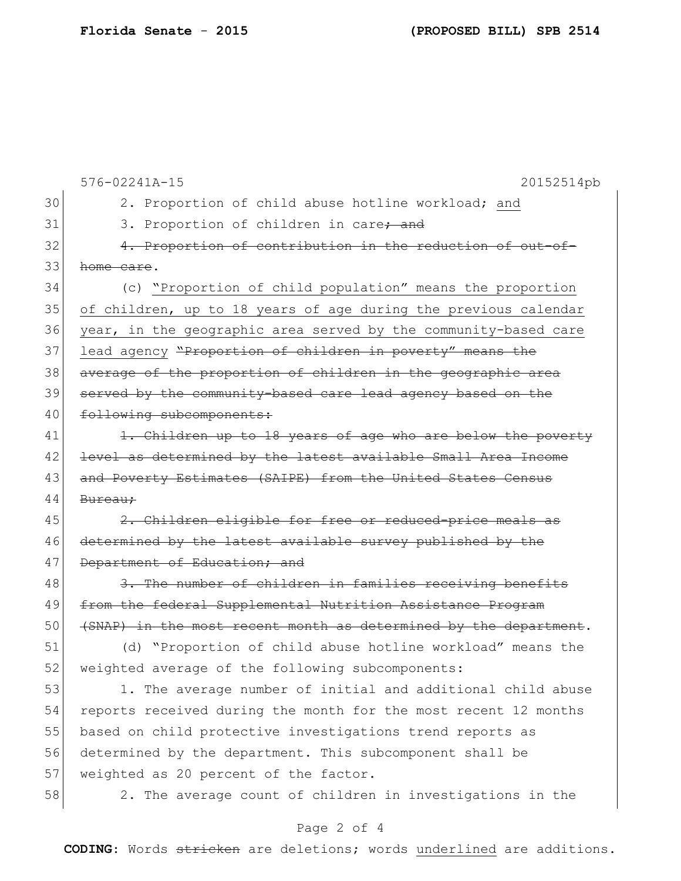576-02241A-15 20152514pb 30 2. Proportion of child abuse hotline workload; and 31 3. Proportion of children in care<del>; and</del> 32 4. Proportion of contribution in the reduction of out-of-33 home care. 34 (c) "Proportion of child population" means the proportion 35 of children, up to 18 years of age during the previous calendar 36 year, in the geographic area served by the community-based care 37 lead agency "Proportion of children in poverty" means the 38 average of the proportion of children in the geographic area 39 served by the community-based care lead agency based on the 40 following subcomponents: 41 1. Children up to 18 years of age who are below the poverty 42 level as determined by the latest available Small Area Income 43 and Poverty Estimates (SAIPE) from the United States Census 44 Bureau; 45 2. Children eligible for free or reduced-price meals as 46 determined by the latest available survey published by the 47 Department of Education; and 48 3. The number of children in families receiving benefits 49 from the federal Supplemental Nutrition Assistance Program 50 (SNAP) in the most recent month as determined by the department. 51 (d) "Proportion of child abuse hotline workload" means the 52 weighted average of the following subcomponents: 53 1. The average number of initial and additional child abuse 54 reports received during the month for the most recent 12 months 55 based on child protective investigations trend reports as 56 determined by the department. This subcomponent shall be 57 weighted as 20 percent of the factor. 58 2. The average count of children in investigations in the

## Page 2 of 4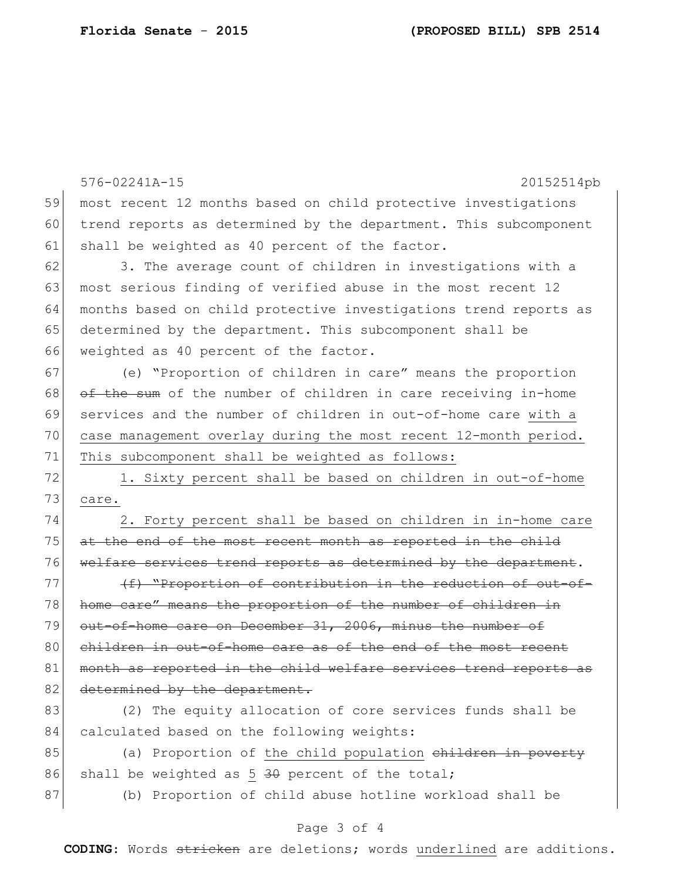576-02241A-15 20152514pb 59 most recent 12 months based on child protective investigations 60 trend reports as determined by the department. This subcomponent 61 shall be weighted as 40 percent of the factor. 62 3. The average count of children in investigations with a 63 most serious finding of verified abuse in the most recent 12 64 months based on child protective investigations trend reports as 65 determined by the department. This subcomponent shall be 66 weighted as 40 percent of the factor. 67 (e) "Proportion of children in care" means the proportion  $68$  of the sum of the number of children in care receiving in-home 69 services and the number of children in out-of-home care with a 70 case management overlay during the most recent 12-month period. 71 This subcomponent shall be weighted as follows: 72 1. Sixty percent shall be based on children in out-of-home 73 care. 74 2. Forty percent shall be based on children in in-home care 75 at the end of the most recent month as reported in the child 76 welfare services trend reports as determined by the department.  $77$  (f) "Proportion of contribution in the reduction of out-of-78 home care" means the proportion of the number of children in 79 out-of-home care on December 31, 2006, minus the number of 80 children in out-of-home care as of the end of the most 81 month as reported in the child welfare services trend reports as 82 determined by the department. 83 (2) The equity allocation of core services funds shall be 84 calculated based on the following weights:  $85$  (a) Proportion of the child population children in poverty 86 shall be weighted as  $5\frac{30}{10}$  percent of the total; 87 (b) Proportion of child abuse hotline workload shall be

## Page 3 of 4